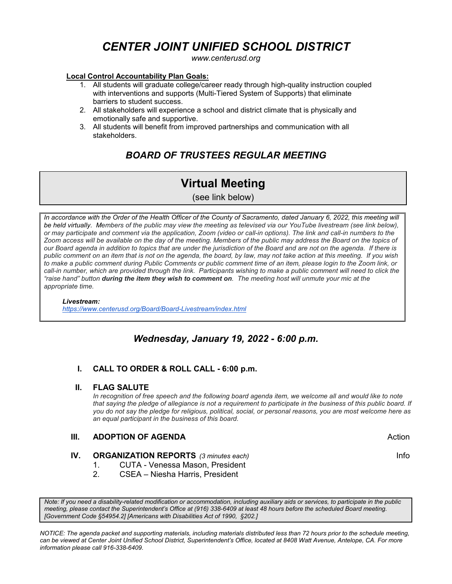# *CENTER JOINT UNIFIED SCHOOL DISTRICT*

*www.centerusd.org*

# **Local Control Accountability Plan Goals:**

- 1. All students will graduate college/career ready through high-quality instruction coupled with interventions and supports (Multi-Tiered System of Supports) that eliminate barriers to student success.
- 2. All stakeholders will experience a school and district climate that is physically and emotionally safe and supportive.
- 3. All students will benefit from improved partnerships and communication with all stakeholders.

# *BOARD OF TRUSTEES REGULAR MEETING*

# **Virtual Meeting**

(see link below)

In accordance with the Order of the Health Officer of the County of Sacramento, dated January 6, 2022, this meeting will *be held virtually. Members of the public may view the meeting as televised via our YouTube livestream (see link below), or may participate and comment via the application, Zoom (video or call-in options). The link and call-in numbers to the Zoom access will be available on the day of the meeting. Members of the public may address the Board on the topics of our Board agenda in addition to topics that are under the jurisdiction of the Board and are not on the agenda. If there is public comment on an item that is not on the agenda, the board, by law, may not take action at this meeting. If you wish*  to make a public comment during Public Comments or public comment time of an item, please login to the Zoom link, or *call-in number, which are provided through the link. Participants wishing to make a public comment will need to click the "raise hand" button during the item they wish to comment on. The meeting host will unmute your mic at the appropriate time.*

# *Livestream:*

 *<https://www.centerusd.org/Board/Board-Livestream/index.html>*

# *Wednesday, January 19, 2022 - 6:00 p.m.*

# **I. CALL TO ORDER & ROLL CALL - 6:00 p.m.**

# **II. FLAG SALUTE**

*In recognition of free speech and the following board agenda item, we welcome all and would like to note that saying the pledge of allegiance is not a requirement to participate in the business of this public board. If you do not say the pledge for religious, political, social, or personal reasons, you are most welcome here as an equal participant in the business of this board.*

# **III. ADOPTION OF AGENDA Action Action Action**

# **IV. ORGANIZATION REPORTS** (3 minutes each) **Information Contract Contract Contract Contract Contract Contract Contract Contract Contract Contract Contract Contract Contract Contract Contract Contract Contract Contract Con**

- 1. CUTA Venessa Mason, President
- 2. CSEA Niesha Harris, President

*Note: If you need a disability-related modification or accommodation, including auxiliary aids or services, to participate in the public meeting, please contact the Superintendent's Office at (916) 338-6409 at least 48 hours before the scheduled Board meeting. [Government Code §54954.2] [Americans with Disabilities Act of 1990, §202.]*

*NOTICE: The agenda packet and supporting materials, including materials distributed less than 72 hours prior to the schedule meeting, can be viewed at Center Joint Unified School District, Superintendent's Office, located at 8408 Watt Avenue, Antelope, CA. For more information please call 916-338-6409.*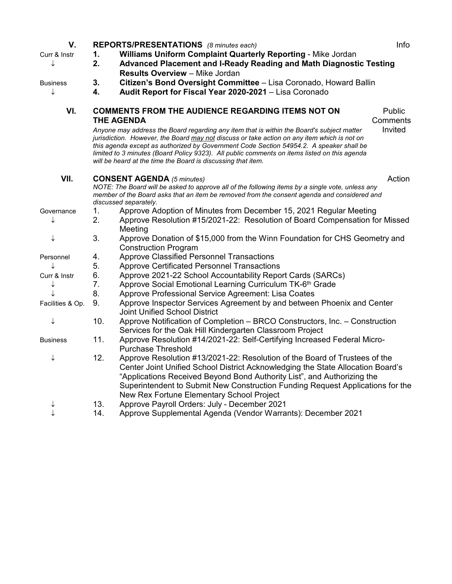| V.               |                                                                                                     | REPORTS/PRESENTATIONS (8 minutes each)                                                                                                                                                                                                                                                                                                                                                                                                              | Info    |  |
|------------------|-----------------------------------------------------------------------------------------------------|-----------------------------------------------------------------------------------------------------------------------------------------------------------------------------------------------------------------------------------------------------------------------------------------------------------------------------------------------------------------------------------------------------------------------------------------------------|---------|--|
| Curr & Instr     | Williams Uniform Complaint Quarterly Reporting - Mike Jordan<br>1.                                  |                                                                                                                                                                                                                                                                                                                                                                                                                                                     |         |  |
| ↓                | 2.<br>Advanced Placement and I-Ready Reading and Math Diagnostic Testing                            |                                                                                                                                                                                                                                                                                                                                                                                                                                                     |         |  |
|                  |                                                                                                     | <b>Results Overview - Mike Jordan</b>                                                                                                                                                                                                                                                                                                                                                                                                               |         |  |
| Business         | 3.                                                                                                  | Citizen's Bond Oversight Committee - Lisa Coronado, Howard Ballin                                                                                                                                                                                                                                                                                                                                                                                   |         |  |
|                  | 4.                                                                                                  | Audit Report for Fiscal Year 2020-2021 - Lisa Coronado                                                                                                                                                                                                                                                                                                                                                                                              |         |  |
| VI.              | <b>COMMENTS FROM THE AUDIENCE REGARDING ITEMS NOT ON</b><br>Public<br><b>THE AGENDA</b><br>Comments |                                                                                                                                                                                                                                                                                                                                                                                                                                                     |         |  |
|                  |                                                                                                     | Anyone may address the Board regarding any item that is within the Board's subject matter<br>jurisdiction. However, the Board may not discuss or take action on any item which is not on<br>this agenda except as authorized by Government Code Section 54954.2. A speaker shall be<br>limited to 3 minutes (Board Policy 9323). All public comments on items listed on this agenda<br>will be heard at the time the Board is discussing that item. | Invited |  |
| VII.             |                                                                                                     | <b>CONSENT AGENDA</b> (5 minutes)                                                                                                                                                                                                                                                                                                                                                                                                                   | Action  |  |
|                  |                                                                                                     | NOTE: The Board will be asked to approve all of the following items by a single vote, unless any                                                                                                                                                                                                                                                                                                                                                    |         |  |
|                  |                                                                                                     | member of the Board asks that an item be removed from the consent agenda and considered and                                                                                                                                                                                                                                                                                                                                                         |         |  |
|                  | 1.                                                                                                  | discussed separately.<br>Approve Adoption of Minutes from December 15, 2021 Regular Meeting                                                                                                                                                                                                                                                                                                                                                         |         |  |
| Governance       | 2.                                                                                                  | Approve Resolution #15/2021-22: Resolution of Board Compensation for Missed                                                                                                                                                                                                                                                                                                                                                                         |         |  |
|                  |                                                                                                     | Meeting                                                                                                                                                                                                                                                                                                                                                                                                                                             |         |  |
| ↓                | 3.                                                                                                  | Approve Donation of \$15,000 from the Winn Foundation for CHS Geometry and<br><b>Construction Program</b>                                                                                                                                                                                                                                                                                                                                           |         |  |
| Personnel        | 4.                                                                                                  | <b>Approve Classified Personnel Transactions</b>                                                                                                                                                                                                                                                                                                                                                                                                    |         |  |
| ↓                | 5.                                                                                                  | <b>Approve Certificated Personnel Transactions</b>                                                                                                                                                                                                                                                                                                                                                                                                  |         |  |
| Curr & Instr     | 6.                                                                                                  | Approve 2021-22 School Accountability Report Cards (SARCs)                                                                                                                                                                                                                                                                                                                                                                                          |         |  |
|                  | 7.                                                                                                  | Approve Social Emotional Learning Curriculum TK-6 <sup>th</sup> Grade                                                                                                                                                                                                                                                                                                                                                                               |         |  |
|                  | 8.                                                                                                  | Approve Professional Service Agreement: Lisa Coates                                                                                                                                                                                                                                                                                                                                                                                                 |         |  |
| Facilities & Op. | 9.                                                                                                  | Approve Inspector Services Agreement by and between Phoenix and Center                                                                                                                                                                                                                                                                                                                                                                              |         |  |
|                  |                                                                                                     | <b>Joint Unified School District</b>                                                                                                                                                                                                                                                                                                                                                                                                                |         |  |
| ↓                | 10.                                                                                                 | Approve Notification of Completion - BRCO Constructors, Inc. - Construction                                                                                                                                                                                                                                                                                                                                                                         |         |  |
|                  |                                                                                                     | Services for the Oak Hill Kindergarten Classroom Project                                                                                                                                                                                                                                                                                                                                                                                            |         |  |
| <b>Business</b>  | 11.                                                                                                 | Approve Resolution #14/2021-22: Self-Certifying Increased Federal Micro-                                                                                                                                                                                                                                                                                                                                                                            |         |  |
|                  |                                                                                                     | <b>Purchase Threshold</b>                                                                                                                                                                                                                                                                                                                                                                                                                           |         |  |
| ↓                | 12.                                                                                                 | Approve Resolution #13/2021-22: Resolution of the Board of Trustees of the                                                                                                                                                                                                                                                                                                                                                                          |         |  |
|                  |                                                                                                     | Center Joint Unified School District Acknowledging the State Allocation Board's                                                                                                                                                                                                                                                                                                                                                                     |         |  |
|                  |                                                                                                     | "Applications Received Beyond Bond Authority List", and Authorizing the                                                                                                                                                                                                                                                                                                                                                                             |         |  |
|                  |                                                                                                     | Superintendent to Submit New Construction Funding Request Applications for the                                                                                                                                                                                                                                                                                                                                                                      |         |  |
|                  |                                                                                                     | New Rex Fortune Elementary School Project                                                                                                                                                                                                                                                                                                                                                                                                           |         |  |
|                  | 13.                                                                                                 | Approve Payroll Orders: July - December 2021                                                                                                                                                                                                                                                                                                                                                                                                        |         |  |
|                  | 14.                                                                                                 | Approve Supplemental Agenda (Vendor Warrants): December 2021                                                                                                                                                                                                                                                                                                                                                                                        |         |  |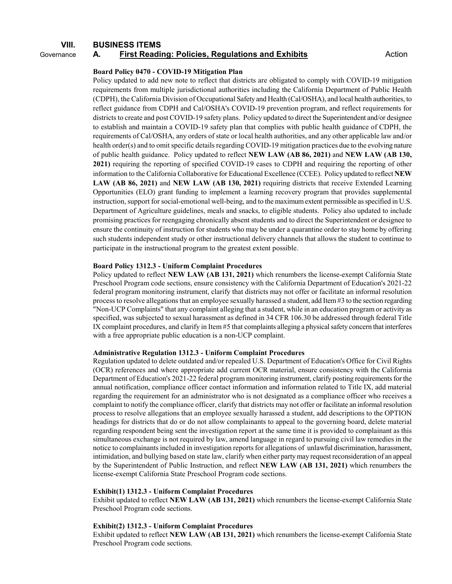# **VIII. BUSINESS ITEMS** Governance **A. First Reading: Policies, Regulations and Exhibits Action** Action

#### **Board Policy 0470 - COVID-19 Mitigation Plan**

Policy updated to add new note to reflect that districts are obligated to comply with COVID-19 mitigation requirements from multiple jurisdictional authorities including the California Department of Public Health (CDPH), the California Division of Occupational Safety and Health (Cal/OSHA), and local health authorities, to reflect guidance from CDPH and Cal/OSHA's COVID-19 prevention program, and reflect requirements for districts to create and post COVID-19 safety plans. Policy updated to direct the Superintendent and/or designee to establish and maintain a COVID-19 safety plan that complies with public health guidance of CDPH, the requirements of Cal/OSHA, any orders of state or local health authorities, and any other applicable law and/or health order(s) and to omit specific details regarding COVID-19 mitigation practices due to the evolving nature of public health guidance. Policy updated to reflect **NEW LAW (AB 86, 2021)** and **NEW LAW (AB 130, 2021)** requiring the reporting of specified COVID-19 cases to CDPH and requiring the reporting of other information to the California Collaborative for Educational Excellence (CCEE). Policy updated to reflect **NEW LAW (AB 86, 2021)** and **NEW LAW (AB 130, 2021)** requiring districts that receive Extended Learning Opportunities (ELO) grant funding to implement a learning recovery program that provides supplemental instruction, support for social-emotional well-being, and to the maximum extent permissible as specified in U.S. Department of Agriculture guidelines, meals and snacks, to eligible students. Policy also updated to include promising practices for reengaging chronically absent students and to direct the Superintendent or designee to ensure the continuity of instruction for students who may be under a quarantine order to stay home by offering such students independent study or other instructional delivery channels that allows the student to continue to participate in the instructional program to the greatest extent possible.

#### **Board Policy 1312.3 - Uniform Complaint Procedures**

Policy updated to reflect **NEW LAW (AB 131, 2021)** which renumbers the license-exempt California State Preschool Program code sections, ensure consistency with the California Department of Education's 2021-22 federal program monitoring instrument, clarify that districts may not offer or facilitate an informal resolution process to resolve allegations that an employee sexually harassed a student, add Item #3 to the section regarding "Non-UCP Complaints" that any complaint alleging that a student, while in an education program or activity as specified, was subjected to sexual harassment as defined in 34 CFR 106.30 be addressed through federal Title IX complaint procedures, and clarify in Item #5 that complaints alleging a physical safety concern that interferes with a free appropriate public education is a non-UCP complaint.

## **Administrative Regulation 1312.3 - Uniform Complaint Procedures**

Regulation updated to delete outdated and/or repealed U.S. Department of Education's Office for Civil Rights (OCR) references and where appropriate add current OCR material, ensure consistency with the California Department of Education's 2021-22 federal program monitoring instrument, clarify posting requirements for the annual notification, compliance officer contact information and information related to Title IX, add material regarding the requirement for an administrator who is not designated as a compliance officer who receives a complaint to notify the compliance officer, clarify that districts may not offer or facilitate an informal resolution process to resolve allegations that an employee sexually harassed a student, add descriptions to the OPTION headings for districts that do or do not allow complainants to appeal to the governing board, delete material regarding respondent being sent the investigation report at the same time it is provided to complainant as this simultaneous exchange is not required by law, amend language in regard to pursuing civil law remedies in the notice to complainants included in investigation reports for allegations of unlawful discrimination, harassment, intimidation, and bullying based on state law, clarify when either party may request reconsideration of an appeal by the Superintendent of Public Instruction, and reflect **NEW LAW (AB 131, 2021)** which renumbers the license-exempt California State Preschool Program code sections.

#### **Exhibit(1) 1312.3 - Uniform Complaint Procedures**

Exhibit updated to reflect **NEW LAW (AB 131, 2021)** which renumbers the license-exempt California State Preschool Program code sections.

#### **Exhibit(2) 1312.3 - Uniform Complaint Procedures**

Exhibit updated to reflect **NEW LAW (AB 131, 2021)** which renumbers the license-exempt California State Preschool Program code sections.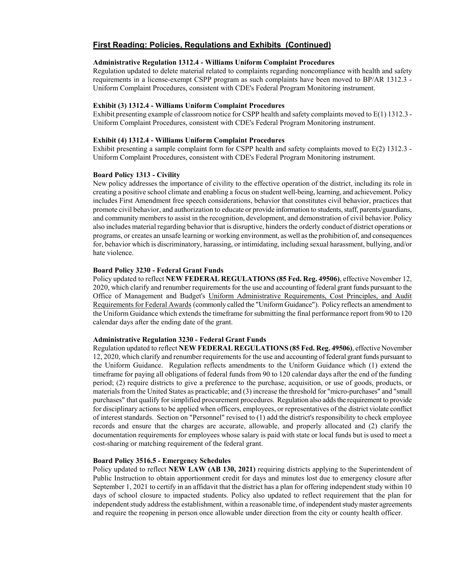#### **Administrative Regulation 1312.4 - Williams Uniform Complaint Procedures**

Regulation updated to delete material related to complaints regarding noncompliance with health and safety requirements in a license-exempt CSPP program as such complaints have been moved to BP/AR 1312.3 - Uniform Complaint Procedures, consistent with CDE's Federal Program Monitoring instrument.

## **Exhibit (3) 1312.4 - Williams Uniform Complaint Procedures**

Exhibit presenting example of classroom notice for CSPP health and safety complaints moved to E(1) 1312.3 - Uniform Complaint Procedures, consistent with CDE's Federal Program Monitoring instrument.

#### **Exhibit (4) 1312.4 - Williams Uniform Complaint Procedures**

Exhibit presenting a sample complaint form for CSPP health and safety complaints moved to E(2) 1312.3 - Uniform Complaint Procedures, consistent with CDE's Federal Program Monitoring instrument.

#### **Board Policy 1313 - Civility**

New policy addresses the importance of civility to the effective operation of the district, including its role in creating a positive school climate and enabling a focus on student well-being, learning, and achievement. Policy includes First Amendment free speech considerations, behavior that constitutes civil behavior, practices that promote civil behavior, and authorization to educate or provide information to students, staff, parents/guardians, and community members to assist in the recognition, development, and demonstration of civil behavior. Policy also includes material regarding behavior that is disruptive, hinders the orderly conduct of district operations or programs, or creates an unsafe learning or working environment, as well as the prohibition of, and consequences for, behavior which is discriminatory, harassing, or intimidating, including sexual harassment, bullying, and/or hate violence.

#### **Board Policy 3230 - Federal Grant Funds**

Policy updated to reflect **NEW FEDERAL REGULATIONS (85 Fed. Reg. 49506)**, effective November 12, 2020, which clarify and renumber requirements for the use and accounting of federal grant funds pursuant to the Office of Management and Budget's Uniform Administrative Requirements, Cost Principles, and Audit Requirements for Federal Awards (commonly called the "Uniform Guidance"). Policy reflects an amendment to the Uniform Guidance which extends the timeframe for submitting the final performance report from 90 to 120 calendar days after the ending date of the grant.

#### **Administrative Regulation 3230 - Federal Grant Funds**

Regulation updated to reflect **NEW FEDERAL REGULATIONS (85 Fed. Reg. 49506)**, effective November 12, 2020, which clarify and renumber requirements for the use and accounting of federal grant funds pursuant to the Uniform Guidance. Regulation reflects amendments to the Uniform Guidance which (1) extend the timeframe for paying all obligations of federal funds from 90 to 120 calendar days after the end of the funding period; (2) require districts to give a preference to the purchase, acquisition, or use of goods, products, or materials from the United States as practicable; and (3) increase the threshold for "micro-purchases" and "small purchases" that qualify for simplified procurement procedures. Regulation also adds the requirement to provide for disciplinary actions to be applied when officers, employees, or representatives of the district violate conflict of interest standards. Section on "Personnel" revised to (1) add the district's responsibility to check employee records and ensure that the charges are accurate, allowable, and properly allocated and (2) clarify the documentation requirements for employees whose salary is paid with state or local funds but is used to meet a cost-sharing or matching requirement of the federal grant.

#### **Board Policy 3516.5 - Emergency Schedules**

Policy updated to reflect **NEW LAW (AB 130, 2021)** requiring districts applying to the Superintendent of Public Instruction to obtain apportionment credit for days and minutes lost due to emergency closure after September 1, 2021 to certify in an affidavit that the district has a plan for offering independent study within 10 days of school closure to impacted students. Policy also updated to reflect requirement that the plan for independent study address the establishment, within a reasonable time, of independent study master agreements and require the reopening in person once allowable under direction from the city or county health officer.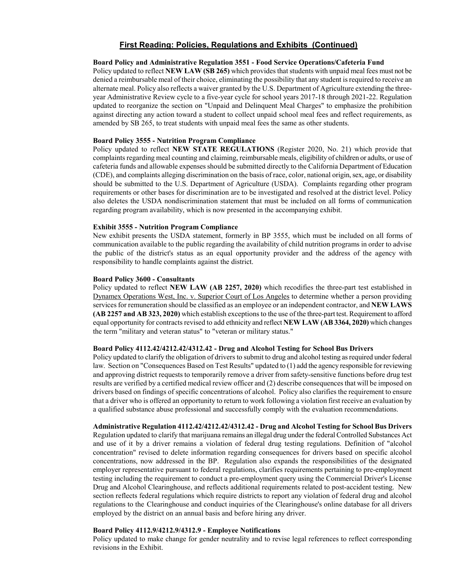#### **Board Policy and Administrative Regulation 3551 - Food Service Operations/Cafeteria Fund**

Policy updated to reflect **NEW LAW (SB 265)** which provides that students with unpaid meal fees must not be denied a reimbursable meal of their choice, eliminating the possibility that any student is required to receive an alternate meal. Policy also reflects a waiver granted by the U.S. Department of Agriculture extending the threeyear Administrative Review cycle to a five-year cycle for school years 2017-18 through 2021-22. Regulation updated to reorganize the section on "Unpaid and Delinquent Meal Charges" to emphasize the prohibition against directing any action toward a student to collect unpaid school meal fees and reflect requirements, as amended by SB 265, to treat students with unpaid meal fees the same as other students.

#### **Board Policy 3555 - Nutrition Program Compliance**

Policy updated to reflect **NEW STATE REGULATIONS** (Register 2020, No. 21) which provide that complaints regarding meal counting and claiming, reimbursable meals, eligibility of children or adults, or use of cafeteria funds and allowable expenses should be submitted directly to the California Department of Education (CDE), and complaints alleging discrimination on the basis of race, color, national origin, sex, age, or disability should be submitted to the U.S. Department of Agriculture (USDA). Complaints regarding other program requirements or other bases for discrimination are to be investigated and resolved at the district level. Policy also deletes the USDA nondiscrimination statement that must be included on all forms of communication regarding program availability, which is now presented in the accompanying exhibit.

#### **Exhibit 3555 - Nutrition Program Compliance**

New exhibit presents the USDA statement, formerly in BP 3555, which must be included on all forms of communication available to the public regarding the availability of child nutrition programs in order to advise the public of the district's status as an equal opportunity provider and the address of the agency with responsibility to handle complaints against the district.

### **Board Policy 3600 - Consultants**

Policy updated to reflect **NEW LAW (AB 2257, 2020)** which recodifies the three-part test established in Dynamex Operations West, Inc. v. Superior Court of Los Angeles to determine whether a person providing services for remuneration should be classified as an employee or an independent contractor, and **NEW LAWS (AB 2257 and AB 323, 2020)** which establish exceptions to the use of the three-part test. Requirement to afford equal opportunity for contracts revised to add ethnicity and reflect **NEW LAW (AB 3364, 2020)** which changes the term "military and veteran status" to "veteran or military status."

## **Board Policy 4112.42/4212.42/4312.42 - Drug and Alcohol Testing for School Bus Drivers**

Policy updated to clarify the obligation of drivers to submit to drug and alcohol testing as required under federal law. Section on "Consequences Based on Test Results" updated to (1) add the agency responsible for reviewing and approving district requests to temporarily remove a driver from safety-sensitive functions before drug test results are verified by a certified medical review officer and (2) describe consequences that will be imposed on drivers based on findings of specific concentrations of alcohol. Policy also clarifies the requirement to ensure that a driver who is offered an opportunity to return to work following a violation first receive an evaluation by a qualified substance abuse professional and successfully comply with the evaluation recommendations.

#### **Administrative Regulation 4112.42/4212.42/4312.42 - Drug and Alcohol Testing for School Bus Drivers**

Regulation updated to clarify that marijuana remains an illegal drug under the federal Controlled Substances Act and use of it by a driver remains a violation of federal drug testing regulations. Definition of "alcohol concentration" revised to delete information regarding consequences for drivers based on specific alcohol concentrations, now addressed in the BP. Regulation also expands the responsibilities of the designated employer representative pursuant to federal regulations, clarifies requirements pertaining to pre-employment testing including the requirement to conduct a pre-employment query using the Commercial Driver's License Drug and Alcohol Clearinghouse, and reflects additional requirements related to post-accident testing. New section reflects federal regulations which require districts to report any violation of federal drug and alcohol regulations to the Clearinghouse and conduct inquiries of the Clearinghouse's online database for all drivers employed by the district on an annual basis and before hiring any driver.

## **Board Policy 4112.9/4212.9/4312.9 - Employee Notifications**

Policy updated to make change for gender neutrality and to revise legal references to reflect corresponding revisions in the Exhibit.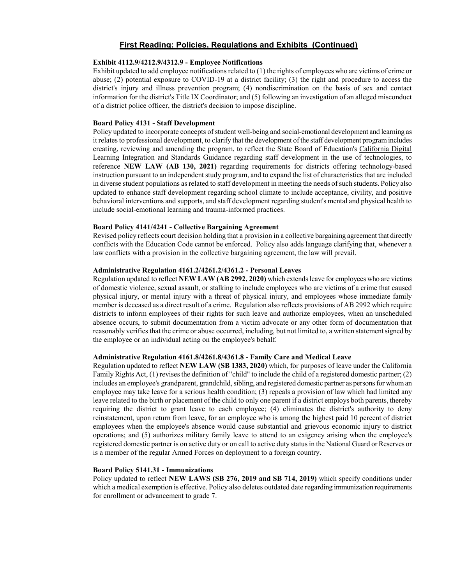### **Exhibit 4112.9/4212.9/4312.9 - Employee Notifications**

Exhibit updated to add employee notifications related to (1) the rights of employees who are victims of crime or abuse; (2) potential exposure to COVID-19 at a district facility; (3) the right and procedure to access the district's injury and illness prevention program; (4) nondiscrimination on the basis of sex and contact information for the district's Title IX Coordinator; and (5) following an investigation of an alleged misconduct of a district police officer, the district's decision to impose discipline.

#### **Board Policy 4131 - Staff Development**

Policy updated to incorporate concepts of student well-being and social-emotional development and learning as it relates to professional development, to clarify that the development of the staff development program includes creating, reviewing and amending the program, to reflect the State Board of Education's California Digital Learning Integration and Standards Guidance regarding staff development in the use of technologies, to reference **NEW LAW (AB 130, 2021)** regarding requirements for districts offering technology-based instruction pursuant to an independent study program, and to expand the list of characteristics that are included in diverse student populations as related to staff development in meeting the needs of such students. Policy also updated to enhance staff development regarding school climate to include acceptance, civility, and positive behavioral interventions and supports, and staff development regarding student's mental and physical health to include social-emotional learning and trauma-informed practices.

## **Board Policy 4141/4241 - Collective Bargaining Agreement**

Revised policy reflects court decision holding that a provision in a collective bargaining agreement that directly conflicts with the Education Code cannot be enforced. Policy also adds language clarifying that, whenever a law conflicts with a provision in the collective bargaining agreement, the law will prevail.

#### **Administrative Regulation 4161.2/4261.2/4361.2 - Personal Leaves**

Regulation updated to reflect **NEW LAW (AB 2992, 2020)** which extends leave for employees who are victims of domestic violence, sexual assault, or stalking to include employees who are victims of a crime that caused physical injury, or mental injury with a threat of physical injury, and employees whose immediate family member is deceased as a direct result of a crime. Regulation also reflects provisions of AB 2992 which require districts to inform employees of their rights for such leave and authorize employees, when an unscheduled absence occurs, to submit documentation from a victim advocate or any other form of documentation that reasonably verifies that the crime or abuse occurred, including, but not limited to, a written statement signed by the employee or an individual acting on the employee's behalf.

### **Administrative Regulation 4161.8/4261.8/4361.8 - Family Care and Medical Leave**

Regulation updated to reflect **NEW LAW (SB 1383, 2020)** which, for purposes of leave under the California Family Rights Act, (1) revises the definition of "child" to include the child of a registered domestic partner; (2) includes an employee's grandparent, grandchild, sibling, and registered domestic partner as persons for whom an employee may take leave for a serious health condition; (3) repeals a provision of law which had limited any leave related to the birth or placement of the child to only one parent if a district employs both parents, thereby requiring the district to grant leave to each employee; (4) eliminates the district's authority to deny reinstatement, upon return from leave, for an employee who is among the highest paid 10 percent of district employees when the employee's absence would cause substantial and grievous economic injury to district operations; and (5) authorizes military family leave to attend to an exigency arising when the employee's registered domestic partner is on active duty or on call to active duty status in the National Guard or Reserves or is a member of the regular Armed Forces on deployment to a foreign country.

## **Board Policy 5141.31 - Immunizations**

Policy updated to reflect **NEW LAWS (SB 276, 2019 and SB 714, 2019)** which specify conditions under which a medical exemption is effective. Policy also deletes outdated date regarding immunization requirements for enrollment or advancement to grade 7.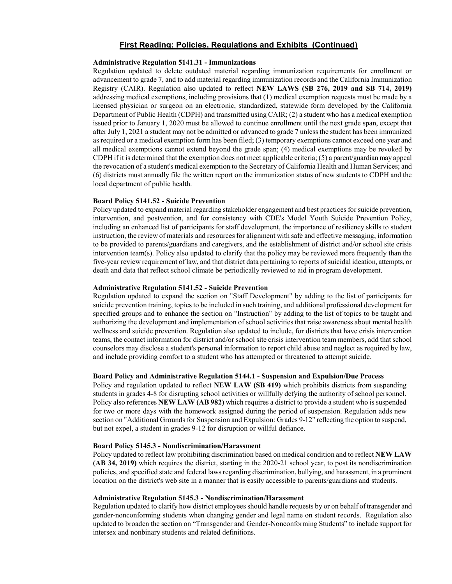#### **Administrative Regulation 5141.31 - Immunizations**

Regulation updated to delete outdated material regarding immunization requirements for enrollment or advancement to grade 7, and to add material regarding immunization records and the California Immunization Registry (CAIR). Regulation also updated to reflect **NEW LAWS (SB 276, 2019 and SB 714, 2019)**  addressing medical exemptions, including provisions that (1) medical exemption requests must be made by a licensed physician or surgeon on an electronic, standardized, statewide form developed by the California Department of Public Health (CDPH) and transmitted using CAIR; (2) a student who has a medical exemption issued prior to January 1, 2020 must be allowed to continue enrollment until the next grade span, except that after July 1, 2021 a student may not be admitted or advanced to grade 7 unless the student has been immunized as required or a medical exemption form has been filed; (3) temporary exemptions cannot exceed one year and all medical exemptions cannot extend beyond the grade span; (4) medical exemptions may be revoked by CDPH if it is determined that the exemption does not meet applicable criteria; (5) a parent/guardian may appeal the revocation of a student's medical exemption to the Secretary of California Health and Human Services; and (6) districts must annually file the written report on the immunization status of new students to CDPH and the local department of public health.

#### **Board Policy 5141.52 - Suicide Prevention**

Policy updated to expand material regarding stakeholder engagement and best practices for suicide prevention, intervention, and postvention, and for consistency with CDE's Model Youth Suicide Prevention Policy, including an enhanced list of participants for staff development, the importance of resiliency skills to student instruction, the review of materials and resources for alignment with safe and effective messaging, information to be provided to parents/guardians and caregivers, and the establishment of district and/or school site crisis intervention team(s). Policy also updated to clarify that the policy may be reviewed more frequently than the five-year review requirement of law, and that district data pertaining to reports of suicidal ideation, attempts, or death and data that reflect school climate be periodically reviewed to aid in program development.

#### **Administrative Regulation 5141.52 - Suicide Prevention**

Regulation updated to expand the section on "Staff Development" by adding to the list of participants for suicide prevention training, topics to be included in such training, and additional professional development for specified groups and to enhance the section on "Instruction" by adding to the list of topics to be taught and authorizing the development and implementation of school activities that raise awareness about mental health wellness and suicide prevention. Regulation also updated to include, for districts that have crisis intervention teams, the contact information for district and/or school site crisis intervention team members, add that school counselors may disclose a student's personal information to report child abuse and neglect as required by law, and include providing comfort to a student who has attempted or threatened to attempt suicide.

## **Board Policy and Administrative Regulation 5144.1 - Suspension and Expulsion/Due Process**

Policy and regulation updated to reflect **NEW LAW (SB 419)** which prohibits districts from suspending students in grades 4-8 for disrupting school activities or willfully defying the authority of school personnel. Policy also references **NEW LAW (AB 982)** which requires a district to provide a student who is suspended for two or more days with the homework assigned during the period of suspension. Regulation adds new section on "Additional Grounds for Suspension and Expulsion: Grades 9-12" reflecting the option to suspend, but not expel, a student in grades 9-12 for disruption or willful defiance.

#### **Board Policy 5145.3 - Nondiscrimination/Harassment**

Policy updated to reflect law prohibiting discrimination based on medical condition and to reflect **NEW LAW (AB 34, 2019)** which requires the district, starting in the 2020-21 school year, to post its nondiscrimination policies, and specified state and federal laws regarding discrimination, bullying, and harassment, in a prominent location on the district's web site in a manner that is easily accessible to parents/guardians and students.

#### **Administrative Regulation 5145.3 - Nondiscrimination/Harassment**

Regulation updated to clarify how district employees should handle requests by or on behalf of transgender and gender-nonconforming students when changing gender and legal name on student records. Regulation also updated to broaden the section on "Transgender and Gender-Nonconforming Students" to include support for intersex and nonbinary students and related definitions.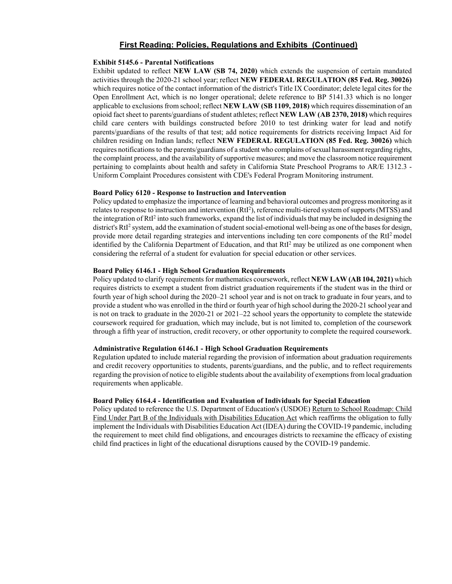## **Exhibit 5145.6 - Parental Notifications**

Exhibit updated to reflect **NEW LAW (SB 74, 2020)** which extends the suspension of certain mandated activities through the 2020-21 school year; reflect **NEW FEDERAL REGULATION (85 Fed. Reg. 30026)** which requires notice of the contact information of the district's Title IX Coordinator; delete legal cites for the Open Enrollment Act, which is no longer operational; delete reference to BP 5141.33 which is no longer applicable to exclusions from school; reflect **NEW LAW (SB 1109, 2018)** which requires dissemination of an opioid fact sheet to parents/guardians of student athletes; reflect **NEW LAW (AB 2370, 2018)** which requires child care centers with buildings constructed before 2010 to test drinking water for lead and notify parents/guardians of the results of that test; add notice requirements for districts receiving Impact Aid for children residing on Indian lands; reflect **NEW FEDERAL REGULATION (85 Fed. Reg. 30026)** which requires notifications to the parents/guardians of a student who complains of sexual harassment regarding rights, the complaint process, and the availability of supportive measures; and move the classroom notice requirement pertaining to complaints about health and safety in California State Preschool Programs to AR/E 1312.3 - Uniform Complaint Procedures consistent with CDE's Federal Program Monitoring instrument.

## **Board Policy 6120 - Response to Instruction and Intervention**

Policy updated to emphasize the importance of learning and behavioral outcomes and progress monitoring as it relates to response to instruction and intervention (RtI<sup>2</sup>), reference multi-tiered system of supports (MTSS) and the integration of  $RtI<sup>2</sup>$  into such frameworks, expand the list of individuals that may be included in designing the district's RtI<sup>2</sup> system, add the examination of student social-emotional well-being as one of the bases for design, provide more detail regarding strategies and interventions including ten core components of the RtI2 model identified by the California Department of Education, and that RtI<sup>2</sup> may be utilized as one component when considering the referral of a student for evaluation for special education or other services.

## **Board Policy 6146.1 - High School Graduation Requirements**

Policy updated to clarify requirements for mathematics coursework, reflect **NEW LAW (AB 104, 2021)** which requires districts to exempt a student from district graduation requirements if the student was in the third or fourth year of high school during the 2020–21 school year and is not on track to graduate in four years, and to provide a student who was enrolled in the third or fourth year of high school during the 2020-21 school year and is not on track to graduate in the 2020-21 or 2021–22 school years the opportunity to complete the statewide coursework required for graduation, which may include, but is not limited to, completion of the coursework through a fifth year of instruction, credit recovery, or other opportunity to complete the required coursework.

## **Administrative Regulation 6146.1 - High School Graduation Requirements**

Regulation updated to include material regarding the provision of information about graduation requirements and credit recovery opportunities to students, parents/guardians, and the public, and to reflect requirements regarding the provision of notice to eligible students about the availability of exemptionsfrom local graduation requirements when applicable.

## **Board Policy 6164.4 - Identification and Evaluation of Individuals for Special Education**

Policy updated to reference the U.S. Department of Education's (USDOE) Return to School Roadmap: Child Find Under Part B of the Individuals with Disabilities Education Act which reaffirms the obligation to fully implement the Individuals with Disabilities Education Act (IDEA) during the COVID-19 pandemic, including the requirement to meet child find obligations, and encourages districts to reexamine the efficacy of existing child find practices in light of the educational disruptions caused by the COVID-19 pandemic.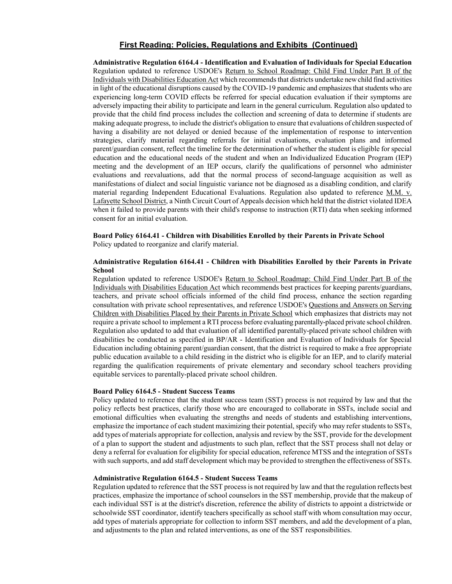**Administrative Regulation 6164.4 - Identification and Evaluation of Individuals for Special Education** Regulation updated to reference USDOE's Return to School Roadmap: Child Find Under Part B of the Individuals with Disabilities Education Act which recommends that districts undertake new child find activities in light of the educational disruptions caused by the COVID-19 pandemic and emphasizes that students who are experiencing long-term COVID effects be referred for special education evaluation if their symptoms are adversely impacting their ability to participate and learn in the general curriculum. Regulation also updated to provide that the child find process includes the collection and screening of data to determine if students are making adequate progress, to include the district's obligation to ensure that evaluations of children suspected of having a disability are not delayed or denied because of the implementation of response to intervention strategies, clarify material regarding referrals for initial evaluations, evaluation plans and informed parent/guardian consent, reflect the timeline for the determination of whether the student is eligible for special education and the educational needs of the student and when an Individualized Education Program (IEP) meeting and the development of an IEP occurs, clarify the qualifications of personnel who administer evaluations and reevaluations, add that the normal process of second-language acquisition as well as manifestations of dialect and social linguistic variance not be diagnosed as a disabling condition, and clarify material regarding Independent Educational Evaluations. Regulation also updated to reference M.M. v. Lafayette School District, a Ninth Circuit Court of Appeals decision which held that the district violated IDEA when it failed to provide parents with their child's response to instruction (RTI) data when seeking informed consent for an initial evaluation.

#### **Board Policy 6164.41 - Children with Disabilities Enrolled by their Parents in Private School** Policy updated to reorganize and clarify material.

## **Administrative Regulation 6164.41 - Children with Disabilities Enrolled by their Parents in Private School**

Regulation updated to reference USDOE's Return to School Roadmap: Child Find Under Part B of the Individuals with Disabilities Education Act which recommends best practices for keeping parents/guardians, teachers, and private school officials informed of the child find process, enhance the section regarding consultation with private school representatives, and reference USDOE's Questions and Answers on Serving Children with Disabilities Placed by their Parents in Private School which emphasizes that districts may not require a private school to implement a RTI process before evaluating parentally-placed private school children. Regulation also updated to add that evaluation of all identified parentally-placed private school children with disabilities be conducted as specified in BP/AR - Identification and Evaluation of Individuals for Special Education including obtaining parent/guardian consent, that the district is required to make a free appropriate public education available to a child residing in the district who is eligible for an IEP, and to clarify material regarding the qualification requirements of private elementary and secondary school teachers providing equitable services to parentally-placed private school children.

## **Board Policy 6164.5 - Student Success Teams**

Policy updated to reference that the student success team (SST) process is not required by law and that the policy reflects best practices, clarify those who are encouraged to collaborate in SSTs, include social and emotional difficulties when evaluating the strengths and needs of students and establishing interventions, emphasize the importance of each student maximizing their potential, specify who may refer students to SSTs, add types of materials appropriate for collection, analysis and review by the SST, provide for the development of a plan to support the student and adjustments to such plan, reflect that the SST process shall not delay or deny a referral for evaluation for eligibility for special education, reference MTSS and the integration of SSTs with such supports, and add staff development which may be provided to strengthen the effectiveness of SSTs.

#### **Administrative Regulation 6164.5 - Student Success Teams**

Regulation updated to reference that the SST process is not required by law and that the regulation reflects best practices, emphasize the importance of school counselors in the SST membership, provide that the makeup of each individual SST is at the district's discretion, reference the ability of districts to appoint a districtwide or schoolwide SST coordinator, identify teachers specifically as school staff with whom consultation may occur, add types of materials appropriate for collection to inform SST members, and add the development of a plan, and adjustments to the plan and related interventions, as one of the SST responsibilities.